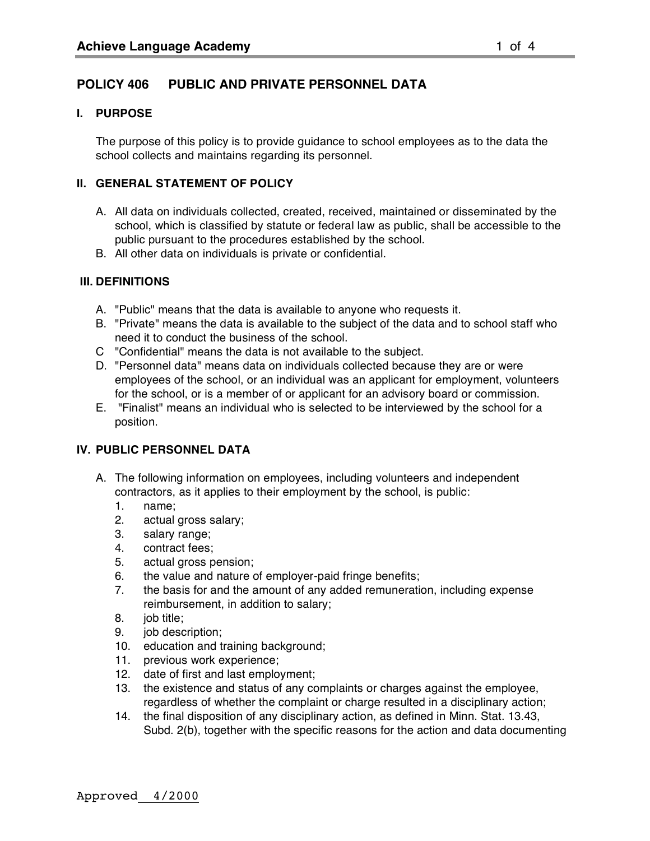# **POLICY 406 PUBLIC AND PRIVATE PERSONNEL DATA**

#### **I. PURPOSE**

The purpose of this policy is to provide guidance to school employees as to the data the school collects and maintains regarding its personnel.

### **II. GENERAL STATEMENT OF POLICY**

- A. All data on individuals collected, created, received, maintained or disseminated by the school, which is classified by statute or federal law as public, shall be accessible to the public pursuant to the procedures established by the school.
- B. All other data on individuals is private or confidential.

### **III. DEFINITIONS**

- A. "Public" means that the data is available to anyone who requests it.
- B. "Private" means the data is available to the subject of the data and to school staff who need it to conduct the business of the school.
- C "Confidential" means the data is not available to the subject.
- D. "Personnel data" means data on individuals collected because they are or were employees of the school, or an individual was an applicant for employment, volunteers for the school, or is a member of or applicant for an advisory board or commission.
- E. "Finalist" means an individual who is selected to be interviewed by the school for a position.

# **IV. PUBLIC PERSONNEL DATA**

- A. The following information on employees, including volunteers and independent contractors, as it applies to their employment by the school, is public:
	- 1. name;
	- 2. actual gross salary;
	- 3. salary range;
	- 4. contract fees;
	- 5. actual gross pension;
	- 6. the value and nature of employer-paid fringe benefits;
	- 7. the basis for and the amount of any added remuneration, including expense reimbursement, in addition to salary;
	- 8. job title;
	- 9. job description;
	- 10. education and training background;
	- 11. previous work experience;
	- 12. date of first and last employment;
	- 13. the existence and status of any complaints or charges against the employee, regardless of whether the complaint or charge resulted in a disciplinary action;
	- 14. the final disposition of any disciplinary action, as defined in Minn. Stat. 13.43, Subd. 2(b), together with the specific reasons for the action and data documenting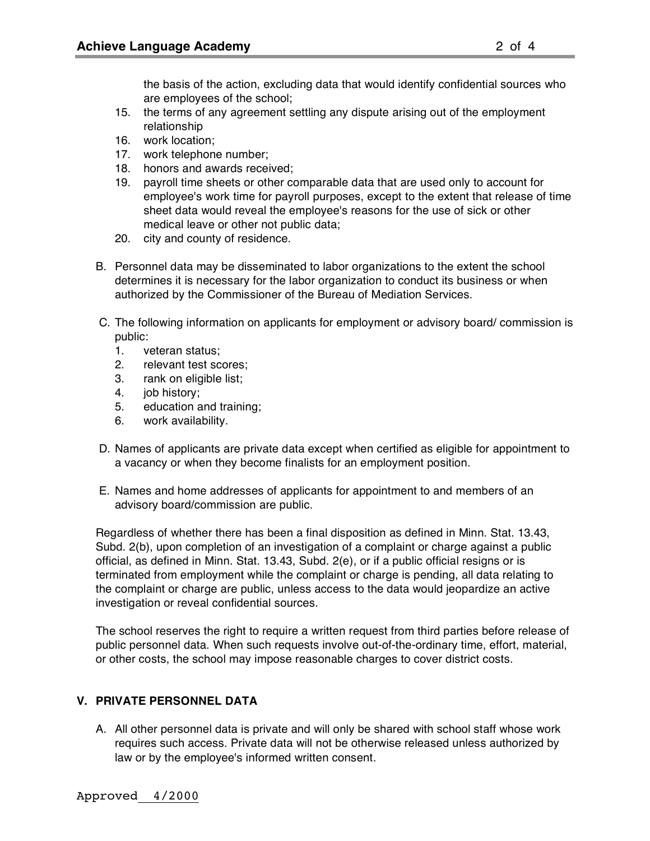the basis of the action, excluding data that would identify confidential sources who are employees of the school;

- 15. the terms of any agreement settling any dispute arising out of the employment relationship
- 16. work location;
- 17. work telephone number;
- 18. honors and awards received;
- 19. payroll time sheets or other comparable data that are used only to account for employee's work time for payroll purposes, except to the extent that release of time sheet data would reveal the employee's reasons for the use of sick or other medical leave or other not public data;
- 20. city and county of residence.
- B. Personnel data may be disseminated to labor organizations to the extent the school determines it is necessary for the labor organization to conduct its business or when authorized by the Commissioner of the Bureau of Mediation Services.
- C. The following information on applicants for employment or advisory board/ commission is public:
	- 1. veteran status;
	- 2. relevant test scores;
	- 3. rank on eligible list;
	- 4. job history;
	- 5. education and training;
	- 6. work availability.
- D. Names of applicants are private data except when certified as eligible for appointment to a vacancy or when they become finalists for an employment position.
- E. Names and home addresses of applicants for appointment to and members of an advisory board/commission are public.

Regardless of whether there has been a final disposition as defined in Minn. Stat. 13.43, Subd. 2(b), upon completion of an investigation of a complaint or charge against a public official, as defined in Minn. Stat. 13.43, Subd. 2(e), or if a public official resigns or is terminated from employment while the complaint or charge is pending, all data relating to the complaint or charge are public, unless access to the data would jeopardize an active investigation or reveal confidential sources.

The school reserves the right to require a written request from third parties before release of public personnel data. When such requests involve out-of-the-ordinary time, effort, material, or other costs, the school may impose reasonable charges to cover district costs.

# **V. PRIVATE PERSONNEL DATA**

A. All other personnel data is private and will only be shared with school staff whose work requires such access. Private data will not be otherwise released unless authorized by law or by the employee's informed written consent.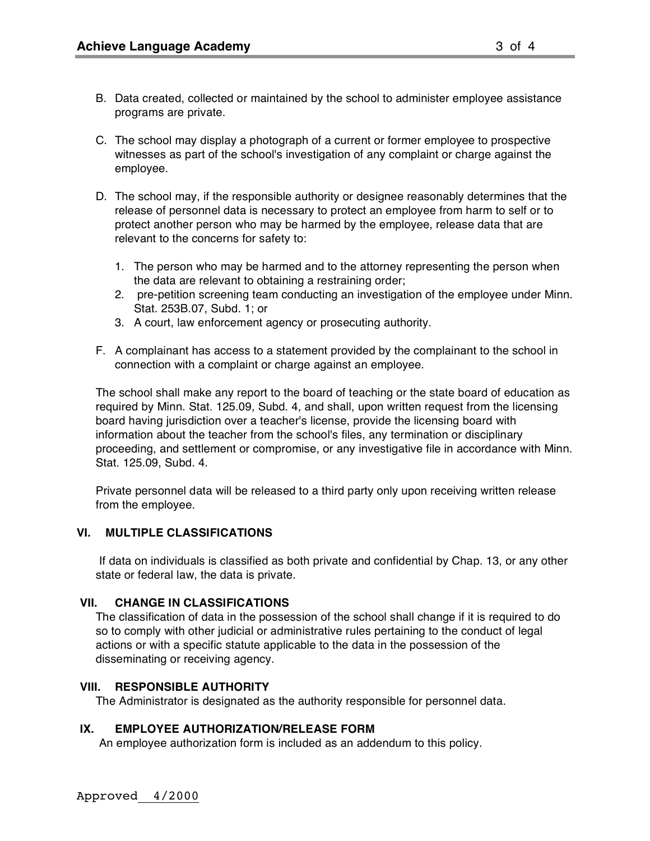- B. Data created, collected or maintained by the school to administer employee assistance programs are private.
- C. The school may display a photograph of a current or former employee to prospective witnesses as part of the school's investigation of any complaint or charge against the employee.
- D. The school may, if the responsible authority or designee reasonably determines that the release of personnel data is necessary to protect an employee from harm to self or to protect another person who may be harmed by the employee, release data that are relevant to the concerns for safety to:
	- 1. The person who may be harmed and to the attorney representing the person when the data are relevant to obtaining a restraining order;
	- 2. pre-petition screening team conducting an investigation of the employee under Minn. Stat. 253B.07, Subd. 1; or
	- 3. A court, law enforcement agency or prosecuting authority.
- F. A complainant has access to a statement provided by the complainant to the school in connection with a complaint or charge against an employee.

The school shall make any report to the board of teaching or the state board of education as required by Minn. Stat. 125.09, Subd. 4, and shall, upon written request from the licensing board having jurisdiction over a teacher's license, provide the licensing board with information about the teacher from the school's files, any termination or disciplinary proceeding, and settlement or compromise, or any investigative file in accordance with Minn. Stat. 125.09, Subd. 4.

Private personnel data will be released to a third party only upon receiving written release from the employee.

# **VI. MULTIPLE CLASSIFICATIONS**

If data on individuals is classified as both private and confidential by Chap. 13, or any other state or federal law, the data is private.

#### **VII. CHANGE IN CLASSIFICATIONS**

The classification of data in the possession of the school shall change if it is required to do so to comply with other judicial or administrative rules pertaining to the conduct of legal actions or with a specific statute applicable to the data in the possession of the disseminating or receiving agency.

#### **VIII. RESPONSIBLE AUTHORITY**

The Administrator is designated as the authority responsible for personnel data.

# **IX. EMPLOYEE AUTHORIZATION/RELEASE FORM**

An employee authorization form is included as an addendum to this policy.